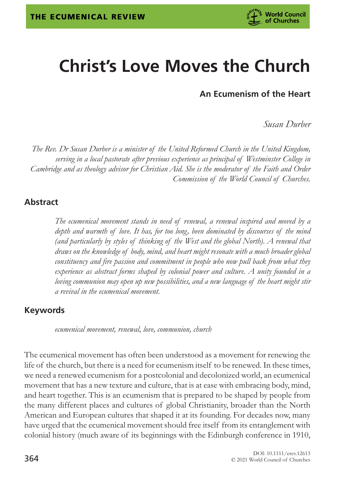

# **Christ's Love Moves the Church**

**An Ecumenism of the Heart**

*Susan Durber*

*The Rev. Dr Susan Durber is a minister of the United Reformed Church in the United Kingdom, serving in a local pastorate after previous experience as principal of Westminster College in Cambridge and as theology advisor for Christian Aid. She is the moderator of the Faith and Order Commission of the World Council of Churches.*

#### **Abstract**

*The ecumenical movement stands in need of renewal, a renewal inspired and moved by a depth and warmth of love. It has, for too long, been dominated by discourses of the mind (and particularly by styles of thinking of the West and the global North). A renewal that draws on the knowledge of body, mind, and heart might resonate with a much broader global constituency and fire passion and commitment in people who now pull back from what they experience as abstract forms shaped by colonial power and culture. A unity founded in a loving communion may open up new possibilities, and a new language of the heart might stir a revival in the ecumenical movement.*

#### **Keywords**

*ecumenical movement, renewal, love, communion, church*

The ecumenical movement has often been understood as a movement for renewing the life of the church, but there is a need for ecumenism itself to be renewed. In these times, we need a renewed ecumenism for a postcolonial and decolonized world, an ecumenical movement that has a new texture and culture, that is at ease with embracing body, mind, and heart together. This is an ecumenism that is prepared to be shaped by people from the many different places and cultures of global Christianity, broader than the North American and European cultures that shaped it at its founding. For decades now, many have urged that the ecumenical movement should free itself from its entanglement with colonial history (much aware of its beginnings with the Edinburgh conference in 1910,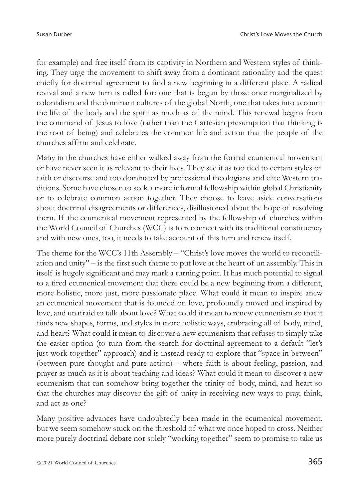for example) and free itself from its captivity in Northern and Western styles of thinking. They urge the movement to shift away from a dominant rationality and the quest chiefly for doctrinal agreement to find a new beginning in a different place. A radical revival and a new turn is called for: one that is begun by those once marginalized by colonialism and the dominant cultures of the global North, one that takes into account the life of the body and the spirit as much as of the mind. This renewal begins from the command of Jesus to love (rather than the Cartesian presumption that thinking is the root of being) and celebrates the common life and action that the people of the churches affirm and celebrate.

Many in the churches have either walked away from the formal ecumenical movement or have never seen it as relevant to their lives. They see it as too tied to certain styles of faith or discourse and too dominated by professional theologians and elite Western traditions. Some have chosen to seek a more informal fellowship within global Christianity or to celebrate common action together. They choose to leave aside conversations about doctrinal disagreements or differences, disillusioned about the hope of resolving them. If the ecumenical movement represented by the fellowship of churches within the World Council of Churches (WCC) is to reconnect with its traditional constituency and with new ones, too, it needs to take account of this turn and renew itself.

The theme for the WCC's 11th Assembly – "Christ's love moves the world to reconciliation and unity" – is the first such theme to put love at the heart of an assembly. This in itself is hugely significant and may mark a turning point. It has much potential to signal to a tired ecumenical movement that there could be a new beginning from a different, more holistic, more just, more passionate place. What could it mean to inspire anew an ecumenical movement that is founded on love, profoundly moved and inspired by love, and unafraid to talk about love? What could it mean to renew ecumenism so that it finds new shapes, forms, and styles in more holistic ways, embracing all of body, mind, and heart? What could it mean to discover a new ecumenism that refuses to simply take the easier option (to turn from the search for doctrinal agreement to a default "let's just work together" approach) and is instead ready to explore that "space in between" (between pure thought and pure action) – where faith is about feeling, passion, and prayer as much as it is about teaching and ideas? What could it mean to discover a new ecumenism that can somehow bring together the trinity of body, mind, and heart so that the churches may discover the gift of unity in receiving new ways to pray, think, and act as one?

Many positive advances have undoubtedly been made in the ecumenical movement, but we seem somehow stuck on the threshold of what we once hoped to cross. Neither more purely doctrinal debate nor solely "working together" seem to promise to take us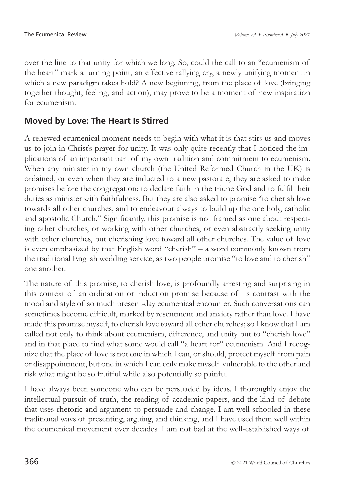over the line to that unity for which we long. So, could the call to an "ecumenism of the heart" mark a turning point, an effective rallying cry, a newly unifying moment in which a new paradigm takes hold? A new beginning, from the place of love (bringing together thought, feeling, and action), may prove to be a moment of new inspiration for ecumenism.

## **Moved by Love: The Heart Is Stirred**

A renewed ecumenical moment needs to begin with what it is that stirs us and moves us to join in Christ's prayer for unity. It was only quite recently that I noticed the implications of an important part of my own tradition and commitment to ecumenism. When any minister in my own church (the United Reformed Church in the UK) is ordained, or even when they are inducted to a new pastorate, they are asked to make promises before the congregation: to declare faith in the triune God and to fulfil their duties as minister with faithfulness. But they are also asked to promise "to cherish love towards all other churches, and to endeavour always to build up the one holy, catholic and apostolic Church." Significantly, this promise is not framed as one about respecting other churches, or working with other churches, or even abstractly seeking unity with other churches, but cherishing love toward all other churches. The value of love is even emphasized by that English word "cherish" – a word commonly known from the traditional English wedding service, as two people promise "to love and to cherish" one another.

The nature of this promise, to cherish love, is profoundly arresting and surprising in this context of an ordination or induction promise because of its contrast with the mood and style of so much present-day ecumenical encounter. Such conversations can sometimes become difficult, marked by resentment and anxiety rather than love. I have made this promise myself, to cherish love toward all other churches; so I know that I am called not only to think about ecumenism, difference, and unity but to "cherish love" and in that place to find what some would call "a heart for" ecumenism. And I recognize that the place of love is not one in which I can, or should, protect myself from pain or disappointment, but one in which I can only make myself vulnerable to the other and risk what might be so fruitful while also potentially so painful.

I have always been someone who can be persuaded by ideas. I thoroughly enjoy the intellectual pursuit of truth, the reading of academic papers, and the kind of debate that uses rhetoric and argument to persuade and change. I am well schooled in these traditional ways of presenting, arguing, and thinking, and I have used them well within the ecumenical movement over decades. I am not bad at the well-established ways of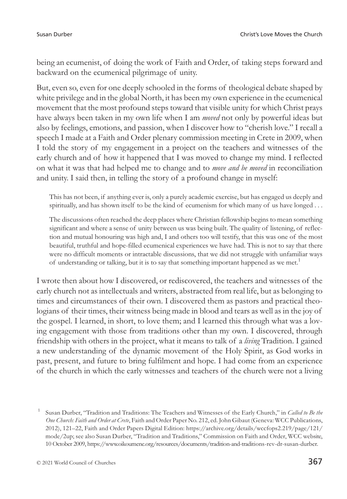being an ecumenist, of doing the work of Faith and Order, of taking steps forward and backward on the ecumenical pilgrimage of unity.

But, even so, even for one deeply schooled in the forms of theological debate shaped by white privilege and in the global North, it has been my own experience in the ecumenical movement that the most profound steps toward that visible unity for which Christ prays have always been taken in my own life when I am *moved* not only by powerful ideas but also by feelings, emotions, and passion, when I discover how to "cherish love." I recall a speech I made at a Faith and Order plenary commission meeting in Crete in 2009, when I told the story of my engagement in a project on the teachers and witnesses of the early church and of how it happened that I was moved to change my mind. I reflected on what it was that had helped me to change and to *move and be moved* in reconciliation and unity. I said then, in telling the story of a profound change in myself:

This has not been, if anything ever is, only a purely academic exercise, but has engaged us deeply and spiritually, and has shown itself to be the kind of ecumenism for which many of us have longed . . .

The discussions often reached the deep places where Christian fellowship begins to mean something significant and where a sense of unity between us was being built. The quality of listening, of reflection and mutual honouring was high and, I and others too will testify, that this was one of the most beautiful, truthful and hope-filled ecumenical experiences we have had. This is not to say that there were no difficult moments or intractable discussions, that we did not struggle with unfamiliar ways of understanding or talking, but it is to say that something important happened as we met.<sup>1</sup>

I wrote then about how I discovered, or rediscovered, the teachers and witnesses of the early church not as intellectuals and writers, abstracted from real life, but as belonging to times and circumstances of their own. I discovered them as pastors and practical theologians of their times, their witness being made in blood and tears as well as in the joy of the gospel. I learned, in short, to love them; and I learned this through what was a loving engagement with those from traditions other than my own. I discovered, through friendship with others in the project, what it means to talk of a *living* Tradition. I gained a new understanding of the dynamic movement of the Holy Spirit, as God works in past, present, and future to bring fulfilment and hope. I had come from an experience of the church in which the early witnesses and teachers of the church were not a living

<sup>1</sup> Susan Durber, "Tradition and Traditions: The Teachers and Witnesses of the Early Church," in *Called to Be the One Church: Faith and Order at Crete*, Faith and Order Paper No. 212, ed. John Gibaut (Geneva: WCC Publications, 2012), 121–22, Faith and Order Papers Digital Edition: [https://archive.org/details/wccfops2.219/page/121/](https://archive.org/details/wccfops2.219/page/121/mode/2up) [mode/2up;](https://archive.org/details/wccfops2.219/page/121/mode/2up) see also Susan Durber, "Tradition and Traditions," Commission on Faith and Order, WCC website, 10 October 2009, [https://www.oikoumene.org/resources/documents/tradition-and-traditions-rev-dr-susan-durber.](https://www.oikoumene.org/resources/documents/tradition-and-traditions-rev-dr-susan-durber)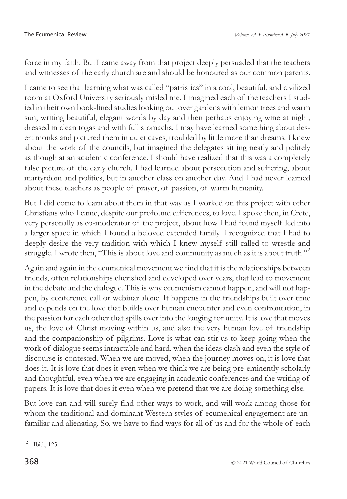force in my faith. But I came away from that project deeply persuaded that the teachers and witnesses of the early church are and should be honoured as our common parents.

I came to see that learning what was called "patristics" in a cool, beautiful, and civilized room at Oxford University seriously misled me. I imagined each of the teachers I studied in their own book-lined studies looking out over gardens with lemon trees and warm sun, writing beautiful, elegant words by day and then perhaps enjoying wine at night, dressed in clean togas and with full stomachs. I may have learned something about desert monks and pictured them in quiet caves, troubled by little more than dreams. I knew about the work of the councils, but imagined the delegates sitting neatly and politely as though at an academic conference. I should have realized that this was a completely false picture of the early church. I had learned about persecution and suffering, about martyrdom and politics, but in another class on another day. And I had never learned about these teachers as people of prayer, of passion, of warm humanity.

But I did come to learn about them in that way as I worked on this project with other Christians who I came, despite our profound differences, to love. I spoke then, in Crete, very personally as co-moderator of the project, about how I had found myself led into a larger space in which I found a beloved extended family. I recognized that I had to deeply desire the very tradition with which I knew myself still called to wrestle and struggle. I wrote then, "This is about love and community as much as it is about truth."<sup>2</sup>

Again and again in the ecumenical movement we find that it is the relationships between friends, often relationships cherished and developed over years, that lead to movement in the debate and the dialogue. This is why ecumenism cannot happen, and will not happen, by conference call or webinar alone. It happens in the friendships built over time and depends on the love that builds over human encounter and even confrontation, in the passion for each other that spills over into the longing for unity. It is love that moves us, the love of Christ moving within us, and also the very human love of friendship and the companionship of pilgrims. Love is what can stir us to keep going when the work of dialogue seems intractable and hard, when the ideas clash and even the style of discourse is contested. When we are moved, when the journey moves on, it is love that does it. It is love that does it even when we think we are being pre-eminently scholarly and thoughtful, even when we are engaging in academic conferences and the writing of papers. It is love that does it even when we pretend that we are doing something else.

But love can and will surely find other ways to work, and will work among those for whom the traditional and dominant Western styles of ecumenical engagement are unfamiliar and alienating. So, we have to find ways for all of us and for the whole of each

<sup>2</sup> Ibid., 125.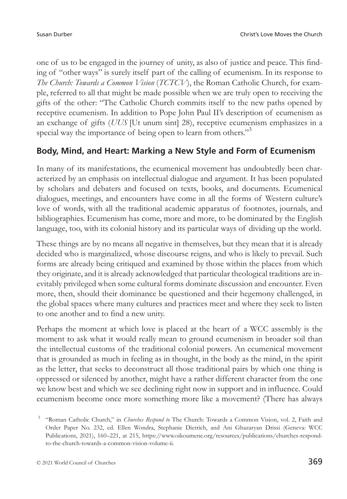one of us to be engaged in the journey of unity, as also of justice and peace. This finding of "other ways" is surely itself part of the calling of ecumenism. In its response to *The Church: Towards a Common Vision* (*TCTCV* ), the Roman Catholic Church, for example, referred to all that might be made possible when we are truly open to receiving the gifts of the other: "The Catholic Church commits itself to the new paths opened by receptive ecumenism. In addition to Pope John Paul II's description of ecumenism as an exchange of gifts (*UUS* [Ut unum sint] 28), receptive ecumenism emphasizes in a special way the importance of being open to learn from others."<sup>3</sup>

#### **Body, Mind, and Heart: Marking a New Style and Form of Ecumenism**

In many of its manifestations, the ecumenical movement has undoubtedly been characterized by an emphasis on intellectual dialogue and argument. It has been populated by scholars and debaters and focused on texts, books, and documents. Ecumenical dialogues, meetings, and encounters have come in all the forms of Western culture's love of words, with all the traditional academic apparatus of footnotes, journals, and bibliographies. Ecumenism has come, more and more, to be dominated by the English language, too, with its colonial history and its particular ways of dividing up the world.

These things are by no means all negative in themselves, but they mean that it is already decided who is marginalized, whose discourse reigns, and who is likely to prevail. Such forms are already being critiqued and examined by those within the places from which they originate, and it is already acknowledged that particular theological traditions are inevitably privileged when some cultural forms dominate discussion and encounter. Even more, then, should their dominance be questioned and their hegemony challenged, in the global spaces where many cultures and practices meet and where they seek to listen to one another and to find a new unity.

Perhaps the moment at which love is placed at the heart of a WCC assembly is the moment to ask what it would really mean to ground ecumenism in broader soil than the intellectual customs of the traditional colonial powers. An ecumenical movement that is grounded as much in feeling as in thought, in the body as the mind, in the spirit as the letter, that seeks to deconstruct all those traditional pairs by which one thing is oppressed or silenced by another, might have a rather different character from the one we know best and which we see declining right now in support and in influence. Could ecumenism become once more something more like a movement? (There has always

<sup>3</sup> "Roman Catholic Church," in *Churches Respond to* The Church: Towards a Common Vision, vol. 2, Faith and Order Paper No. 232, ed. Ellen Wondra, Stephanie Dietrich, and Ani Ghazaryan Drissi (Geneva: WCC Publications, 2021), 160–221, at 215, [https://www.oikoumene.org/resources/publications/churches-respond](https://www.oikoumene.org/resources/publications/churches-respond-to-the-church-towards-a-common-vision-volume-ii)[to-the-church-towards-a-common-vision-volume-ii](https://www.oikoumene.org/resources/publications/churches-respond-to-the-church-towards-a-common-vision-volume-ii).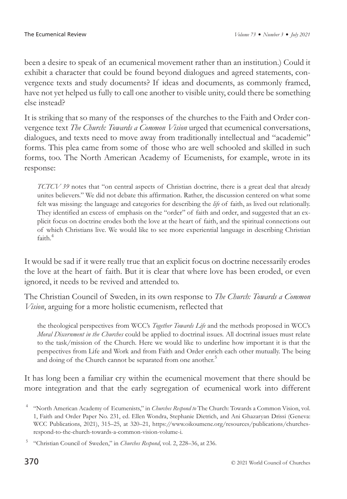been a desire to speak of an ecumenical movement rather than an institution.) Could it exhibit a character that could be found beyond dialogues and agreed statements, convergence texts and study documents? If ideas and documents, as commonly framed, have not yet helped us fully to call one another to visible unity, could there be something else instead?

It is striking that so many of the responses of the churches to the Faith and Order convergence text *The Church: Towards a Common Vision* urged that ecumenical conversations, dialogues, and texts need to move away from traditionally intellectual and "academic" forms. This plea came from some of those who are well schooled and skilled in such forms, too. The North American Academy of Ecumenists, for example, wrote in its response:

*TCTCV 39* notes that "on central aspects of Christian doctrine, there is a great deal that already unites believers." We did not debate this affirmation. Rather, the discussion centered on what some felt was missing: the language and categories for describing the *life* of faith, as lived out relationally. They identified an excess of emphasis on the "order" of faith and order, and suggested that an explicit focus on doctrine erodes both the love at the heart of faith, and the spiritual connections out of which Christians live. We would like to see more experiential language in describing Christian faith<sup>4</sup>

It would be sad if it were really true that an explicit focus on doctrine necessarily erodes the love at the heart of faith. But it is clear that where love has been eroded, or even ignored, it needs to be revived and attended to.

The Christian Council of Sweden, in its own response to *The Church: Towards a Common Vision*, arguing for a more holistic ecumenism, reflected that

the theological perspectives from WCC's *Together Towards Life* and the methods proposed in WCC's *Moral Discernment in the Churches* could be applied to doctrinal issues. All doctrinal issues must relate to the task/mission of the Church. Here we would like to underline how important it is that the perspectives from Life and Work and from Faith and Order enrich each other mutually. The being and doing of the Church cannot be separated from one another.<sup>5</sup>

It has long been a familiar cry within the ecumenical movement that there should be more integration and that the early segregation of ecumenical work into different

<sup>4</sup> "North American Academy of Ecumenists," in *Churches Respond to* The Church: Towards a Common Vision, vol. 1, Faith and Order Paper No. 231, ed. Ellen Wondra, Stephanie Dietrich, and Ani Ghazaryan Drissi (Geneva: WCC Publications, 2021), 315–25, at 320–21, [https://www.oikoumene.org/resources/publications/churches](https://www.oikoumene.org/resources/publications/churches-respond-to-the-church-towards-a-common-vision-volume-i)[respond-to-the-church-towards-a-common-vision-volume-i](https://www.oikoumene.org/resources/publications/churches-respond-to-the-church-towards-a-common-vision-volume-i).

<sup>5</sup> "Christian Council of Sweden," in *Churches Respond*, vol. 2, 228–36, at 236.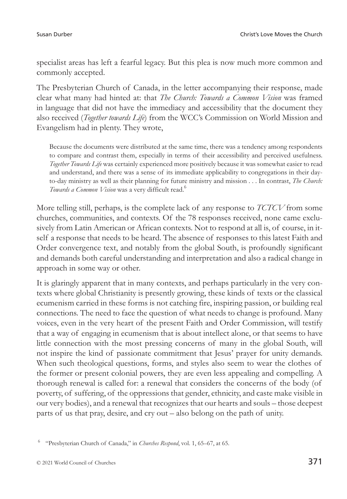specialist areas has left a fearful legacy. But this plea is now much more common and commonly accepted.

The Presbyterian Church of Canada, in the letter accompanying their response, made clear what many had hinted at: that *The Church: Towards a Common Vision* was framed in language that did not have the immediacy and accessibility that the document they also received (*Together towards Life*) from the WCC's Commission on World Mission and Evangelism had in plenty. They wrote,

Because the documents were distributed at the same time, there was a tendency among respondents to compare and contrast them, especially in terms of their accessibility and perceived usefulness. *Together Towards Life* was certainly experienced more positively because it was somewhat easier to read and understand, and there was a sense of its immediate applicability to congregations in their dayto-day ministry as well as their planning for future ministry and mission . . . In contrast, *The Church: Towards a Common Vision* was a very difficult read.6

More telling still, perhaps, is the complete lack of any response to *TCTCV* from some churches, communities, and contexts. Of the 78 responses received, none came exclusively from Latin American or African contexts. Not to respond at all is, of course, in itself a response that needs to be heard. The absence of responses to this latest Faith and Order convergence text, and notably from the global South, is profoundly significant and demands both careful understanding and interpretation and also a radical change in approach in some way or other.

It is glaringly apparent that in many contexts, and perhaps particularly in the very contexts where global Christianity is presently growing, these kinds of texts or the classical ecumenism carried in these forms is not catching fire, inspiring passion, or building real connections. The need to face the question of what needs to change is profound. Many voices, even in the very heart of the present Faith and Order Commission, will testify that a way of engaging in ecumenism that is about intellect alone, or that seems to have little connection with the most pressing concerns of many in the global South, will not inspire the kind of passionate commitment that Jesus' prayer for unity demands. When such theological questions, forms, and styles also seem to wear the clothes of the former or present colonial powers, they are even less appealing and compelling. A thorough renewal is called for: a renewal that considers the concerns of the body (of poverty, of suffering, of the oppressions that gender, ethnicity, and caste make visible in our very bodies), and a renewal that recognizes that our hearts and souls – those deepest parts of us that pray, desire, and cry out – also belong on the path of unity.

<sup>6</sup> "Presbyterian Church of Canada," in *Churches Respond*, vol. 1, 65–67, at 65.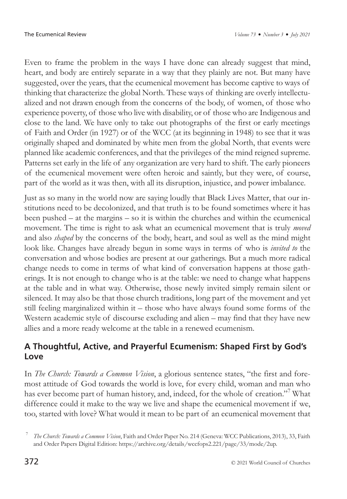Even to frame the problem in the ways I have done can already suggest that mind, heart, and body are entirely separate in a way that they plainly are not. But many have suggested, over the years, that the ecumenical movement has become captive to ways of thinking that characterize the global North. These ways of thinking are overly intellectualized and not drawn enough from the concerns of the body, of women, of those who experience poverty, of those who live with disability, or of those who are Indigenous and close to the land. We have only to take out photographs of the first or early meetings of Faith and Order (in 1927) or of the WCC (at its beginning in 1948) to see that it was originally shaped and dominated by white men from the global North, that events were planned like academic conferences, and that the privileges of the mind reigned supreme. Patterns set early in the life of any organization are very hard to shift. The early pioneers of the ecumenical movement were often heroic and saintly, but they were, of course, part of the world as it was then, with all its disruption, injustice, and power imbalance.

Just as so many in the world now are saying loudly that Black Lives Matter, that our institutions need to be decolonized, and that truth is to be found sometimes where it has been pushed – at the margins – so it is within the churches and within the ecumenical movement. The time is right to ask what an ecumenical movement that is truly *moved* and also *shaped* by the concerns of the body, heart, and soul as well as the mind might look like. Changes have already begun in some ways in terms of who is *invited to* the conversation and whose bodies are present at our gatherings. But a much more radical change needs to come in terms of what kind of conversation happens at those gatherings. It is not enough to change who is at the table: we need to change what happens at the table and in what way. Otherwise, those newly invited simply remain silent or silenced. It may also be that those church traditions, long part of the movement and yet still feeling marginalized within it – those who have always found some forms of the Western academic style of discourse excluding and alien – may find that they have new allies and a more ready welcome at the table in a renewed ecumenism.

## **A Thoughtful, Active, and Prayerful Ecumenism: Shaped First by God's Love**

In *The Church: Towards a Common Vision*, a glorious sentence states, "the first and foremost attitude of God towards the world is love, for every child, woman and man who has ever become part of human history, and, indeed, for the whole of creation."<sup>7</sup> What difference could it make to the way we live and shape the ecumenical movement if we, too, started with love? What would it mean to be part of an ecumenical movement that

<sup>7</sup> *The Church: Towards a Common Vision*, Faith and Order Paper No. 214 (Geneva: WCC Publications, 2013), 33, Faith and Order Papers Digital Edition:<https://archive.org/details/wccfops2.221/page/33/mode/2up>.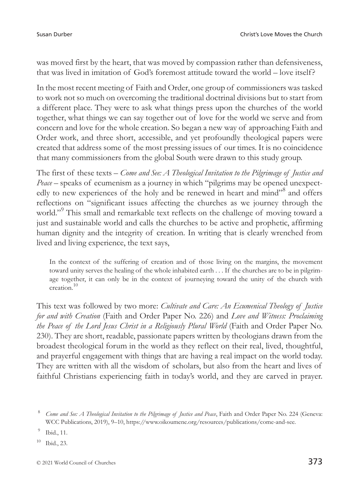was moved first by the heart, that was moved by compassion rather than defensiveness, that was lived in imitation of God's foremost attitude toward the world – love itself?

In the most recent meeting of Faith and Order, one group of commissioners was tasked to work not so much on overcoming the traditional doctrinal divisions but to start from a different place. They were to ask what things press upon the churches of the world together, what things we can say together out of love for the world we serve and from concern and love for the whole creation. So began a new way of approaching Faith and Order work, and three short, accessible, and yet profoundly theological papers were created that address some of the most pressing issues of our times. It is no coincidence that many commissioners from the global South were drawn to this study group.

The first of these texts – *Come and See: A Theological Invitation to the Pilgrimage of Justice and Peace* – speaks of ecumenism as a journey in which "pilgrims may be opened unexpectedly to new experiences of the holy and be renewed in heart and mind"<sup>8</sup> and offers reflections on "significant issues affecting the churches as we journey through the world."<sup>9</sup> This small and remarkable text reflects on the challenge of moving toward a just and sustainable world and calls the churches to be active and prophetic, affirming human dignity and the integrity of creation. In writing that is clearly wrenched from lived and living experience, the text says,

In the context of the suffering of creation and of those living on the margins, the movement toward unity serves the healing of the whole inhabited earth . . . If the churches are to be in pilgrimage together, it can only be in the context of journeying toward the unity of the church with creation.10

This text was followed by two more: *Cultivate and Care: An Ecumenical Theology of Justice for and with Creation* (Faith and Order Paper No. 226) and *Love and Witness: Proclaiming the Peace of the Lord Jesus Christ in a Religiously Plural World* (Faith and Order Paper No. 230). They are short, readable, passionate papers written by theologians drawn from the broadest theological forum in the world as they reflect on their real, lived, thoughtful, and prayerful engagement with things that are having a real impact on the world today. They are written with all the wisdom of scholars, but also from the heart and lives of faithful Christians experiencing faith in today's world, and they are carved in prayer.

<sup>10</sup> Ibid., 23.

<sup>8</sup> *Come and See: A Theological Invitation to the Pilgrimage of Justice and Peace*, Faith and Order Paper No. 224 (Geneva: WCC Publications, 2019), 9–10, [https://www.oikoumene.org/resources/publications/come-and-see.](https://www.oikoumene.org/resources/publications/come-and-see)

<sup>9</sup> Ibid., 11.